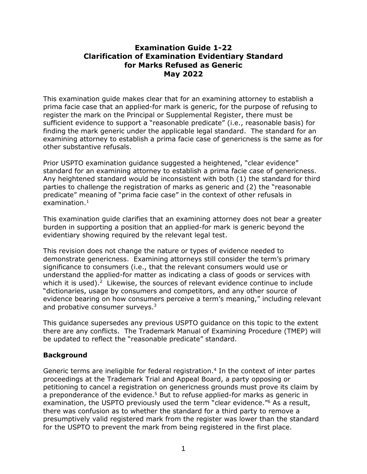## **Examination Guide 1-22 Clarification of Examination Evidentiary Standard for Marks Refused as Generic May 2022**

This examination guide makes clear that for an examining attorney to establish a prima facie case that an applied-for mark is generic, for the purpose of refusing to register the mark on the Principal or Supplemental Register, there must be sufficient evidence to support a "reasonable predicate" (i.e., reasonable basis) for finding the mark generic under the applicable legal standard. The standard for an examining attorney to establish a prima facie case of genericness is the same as for other substantive refusals.

Prior USPTO examination guidance suggested a heightened, "clear evidence" standard for an examining attorney to establish a prima facie case of genericness. Any heightened standard would be inconsistent with both (1) the standard for third parties to challenge the registration of marks as generic and (2) the "reasonable predicate" meaning of "prima facie case" in the context of other refusals in  $examination<sup>1</sup>$ 

This examination guide clarifies that an examining attorney does not bear a greater burden in supporting a position that an applied-for mark is generic beyond the evidentiary showing required by the relevant legal test.

This revision does not change the nature or types of evidence needed to demonstrate genericness. Examining attorneys still consider the term's primary significance to consumers (i.e., that the relevant consumers would use or understand the applied-for matter as indicating a class of goods or services with which it is used).<sup>2</sup> Likewise, the sources of relevant evidence continue to include "dictionaries, usage by consumers and competitors, and any other source of evidence bearing on how consumers perceive a term's meaning," including relevant and probative consumer surveys. $3$ 

This guidance supersedes any previous USPTO guidance on this topic to the extent there are any conflicts. The Trademark Manual of Examining Procedure (TMEP) will be updated to reflect the "reasonable predicate" standard.

## **Background**

Generic terms are ineligible for federal registration. 4 In the context of inter partes proceedings at the Trademark Trial and Appeal Board, a party opposing or petitioning to cancel a registration on genericness grounds must prove its claim by a preponderance of the evidence.<sup>5</sup> But to refuse applied-for marks as generic in examination, the USPTO previously used the term "clear evidence."<sup>6</sup> As a result, there was confusion as to whether the standard for a third party to remove a presumptively valid registered mark from the register was lower than the standard for the USPTO to prevent the mark from being registered in the first place.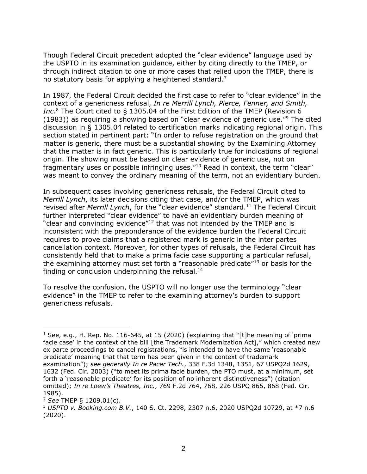Though Federal Circuit precedent adopted the "clear evidence" language used by the USPTO in its examination guidance, either by citing directly to the TMEP, or through indirect citation to one or more cases that relied upon the TMEP, there is no statutory basis for applying a heightened standard.<sup>7</sup>

In 1987, the Federal Circuit decided the first case to refer to "clear evidence" in the context of a genericness refusal, *In re Merrill Lynch, Pierce, Fenner, and Smith, Inc*. <sup>8</sup> The Court cited to § 1305.04 of the First Edition of the TMEP (Revision 6 (1983)) as requiring a showing based on "clear evidence of generic use."<sup>9</sup> The cited discussion in § 1305.04 related to certification marks indicating regional origin. This section stated in pertinent part: "In order to refuse registration on the ground that matter is generic, there must be a substantial showing by the Examining Attorney that the matter is in fact generic. This is particularly true for indications of regional origin. The showing must be based on clear evidence of generic use, not on fragmentary uses or possible infringing uses."<sup>10</sup> Read in context, the term "clear" was meant to convey the ordinary meaning of the term, not an evidentiary burden.

In subsequent cases involving genericness refusals, the Federal Circuit cited to *Merrill Lynch*, its later decisions citing that case, and/or the TMEP, which was revised after *Merrill Lynch*, for the "clear evidence" standard. <sup>11</sup> The Federal Circuit further interpreted "clear evidence" to have an evidentiary burden meaning of "clear and convincing evidence"<sup>12</sup> that was not intended by the TMEP and is inconsistent with the preponderance of the evidence burden the Federal Circuit requires to prove claims that a registered mark is generic in the inter partes cancellation context. Moreover, for other types of refusals, the Federal Circuit has consistently held that to make a prima facie case supporting a particular refusal, the examining attorney must set forth a "reasonable predicate"<sup>13</sup> or basis for the finding or conclusion underpinning the refusal.<sup>14</sup>

To resolve the confusion, the USPTO will no longer use the terminology "clear evidence" in the TMEP to refer to the examining attorney's burden to support genericness refusals.

1

<sup>&</sup>lt;sup>1</sup> See, e.g., H. Rep. No. 116-645, at 15 (2020) (explaining that "[t]he meaning of 'prima facie case' in the context of the bill [the Trademark Modernization Act]," which created new ex parte proceedings to cancel registrations, "is intended to have the same 'reasonable predicate' meaning that that term has been given in the context of trademark examination"); *see generally In re Pacer Tech.*, 338 F.3d 1348, 1351, 67 USPQ2d 1629, 1632 (Fed. Cir. 2003) ("to meet its prima facie burden, the PTO must, at a minimum, set forth a 'reasonable predicate' for its position of no inherent distinctiveness") (citation omitted); *In re Loew's Theatres, Inc.*, 769 F.2d 764, 768, 226 USPQ 865, 868 (Fed. Cir. 1985).

<sup>2</sup> *See* TMEP § 1209.01(c).

<sup>3</sup> *USPTO v. Booking.com B.V.*, 140 S. Ct. 2298, 2307 n.6, 2020 USPQ2d 10729, at \*7 n.6 (2020).